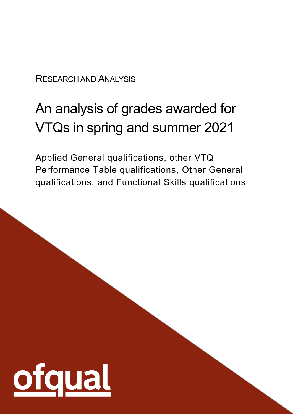#### RESEARCH AND ANALYSIS

# An analysis of grades awarded for VTQs in spring and summer 2021

Applied General qualifications, other VTQ Performance Table qualifications, Other General qualifications, and Functional Skills qualifications

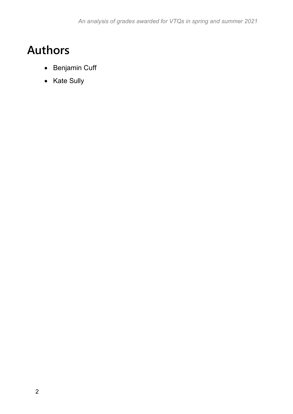### <span id="page-1-0"></span>**Authors**

- Benjamin Cuff
- Kate Sully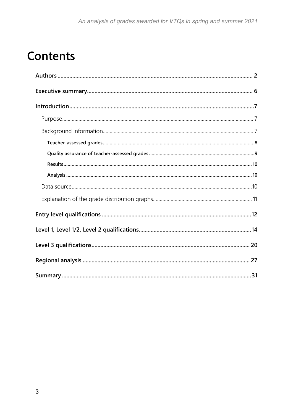### **Contents**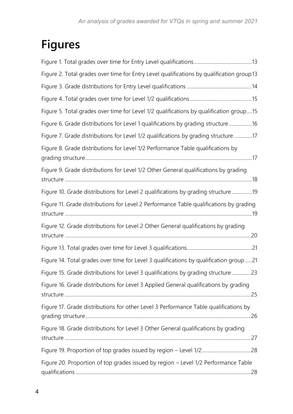## **Figures**

| Figure 2. Total grades over time for Entry Level qualifications by qualification group13 |
|------------------------------------------------------------------------------------------|
|                                                                                          |
|                                                                                          |
| Figure 5. Total grades over time for Level 1/2 qualifications by qualification group15   |
| Figure 6. Grade distributions for Level 1 qualifications by grading structure 16         |
| Figure 7. Grade distributions for Level 1/2 qualifications by grading structure 17       |
| Figure 8. Grade distributions for Level 1/2 Performance Table qualifications by          |
| Figure 9. Grade distributions for Level 1/2 Other General qualifications by grading      |
| Figure 10. Grade distributions for Level 2 qualifications by grading structure19         |
| Figure 11. Grade distributions for Level 2 Performance Table qualifications by grading   |
| Figure 12. Grade distributions for Level 2 Other General qualifications by grading       |
|                                                                                          |
| Figure 14. Total grades over time for Level 3 qualifications by qualification group 21   |
| Figure 15. Grade distributions for Level 3 qualifications by grading structure23         |
| Figure 16. Grade distributions for Level 3 Applied General qualifications by grading     |
| Figure 17. Grade distributions for other Level 3 Performance Table qualifications by     |
| Figure 18. Grade distributions for Level 3 Other General qualifications by grading       |
|                                                                                          |
| Figure 20. Proportion of top grades issued by region - Level 1/2 Performance Table       |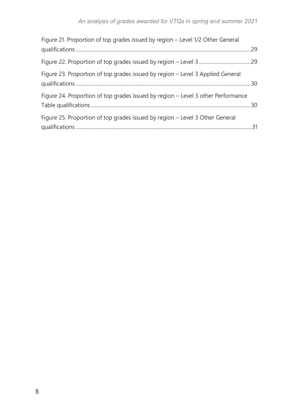| Figure 21. Proportion of top grades issued by region - Level 1/2 Other General   |  |
|----------------------------------------------------------------------------------|--|
|                                                                                  |  |
| Figure 23. Proportion of top grades issued by region – Level 3 Applied General   |  |
| Figure 24. Proportion of top grades issued by region – Level 3 other Performance |  |
| Figure 25. Proportion of top grades issued by region – Level 3 Other General     |  |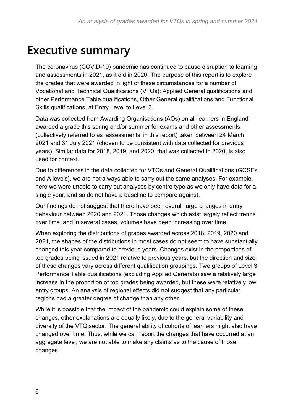### <span id="page-5-0"></span>**Executive summary**

The coronavirus (COVID-19) pandemic has continued to cause disruption to learning and assessments in 2021, as it did in 2020. The purpose of this report is to explore the grades that were awarded in light of these circumstances for a number of Vocational and Technical Qualifications (VTQs): Applied General qualifications and other Performance Table qualifications, Other General qualifications and Functional Skills qualifications, at Entry Level to Level 3.

Data was collected from Awarding Organisations (AOs) on all learners in England awarded a grade this spring and/or summer for exams and other assessments (collectively referred to as 'assessments' in this report) taken between 24 March 2021 and 31 July 2021 (chosen to be consistent with data collected for previous years). Similar data for 2018, 2019, and 2020, that was collected in 2020, is also used for context.

Due to differences in the data collected for VTQs and General Qualifications (GCSEs and A levels), we are not always able to carry out the same analyses. For example, here we were unable to carry out analyses by centre type as we only have data for a single year, and so do not have a baseline to compare against.

Our findings do not suggest that there have been overall large changes in entry behaviour between 2020 and 2021. Those changes which exist largely reflect trends over time, and in several cases, volumes have been increasing over time.

When exploring the distributions of grades awarded across 2018, 2019, 2020 and 2021, the shapes of the distributions in most cases do not seem to have substantially changed this year compared to previous years. Changes exist in the proportions of top grades being issued in 2021 relative to previous years, but the direction and size of these changes vary across different qualification groupings. Two groups of Level 3 Performance Table qualifications (excluding Applied Generals) saw a relatively large increase in the proportion of top grades being awarded, but these were relatively low entry groups. An analysis of regional effects did not suggest that any particular regions had a greater degree of change than any other.

While it is possible that the impact of the pandemic could explain some of these changes, other explanations are equally likely, due to the general variability and diversity of the VTQ sector. The general ability of cohorts of learners might also have changed over time. Thus, while we can report the changes that have occurred at an aggregate level, we are not able to make any claims as to the cause of those changes.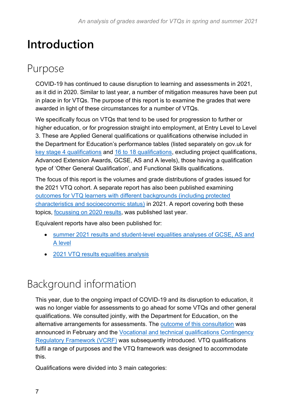### <span id="page-6-0"></span>**Introduction**

### <span id="page-6-1"></span>Purpose

COVID-19 has continued to cause disruption to learning and assessments in 2021, as it did in 2020. Similar to last year, a number of mitigation measures have been put in place in for VTQs. The purpose of this report is to examine the grades that were awarded in light of these circumstances for a number of VTQs.

We specifically focus on VTQs that tend to be used for progression to further or higher education, or for progression straight into employment, at Entry Level to Level 3. These are Applied General qualifications or qualifications otherwise included in the Department for Education's performance tables (listed separately on gov.uk for [key stage 4 qualifications](https://www.gov.uk/government/publications/key-stage-4-qualifications-discount-codes-and-point-scores) and [16 to 18 qualifications,](https://www.gov.uk/government/publications/16-to-19-qualifications-discount-codes-and-point-scores) excluding project qualifications, Advanced Extension Awards, GCSE, AS and A levels), those having a qualification type of 'Other General Qualification', and Functional Skills qualifications.

The focus of this report is the volumes and grade distributions of grades issued for the 2021 VTQ cohort. A separate report has also been published examining [outcomes for VTQ learners with different backgrounds \(including protected](https://www.gov.uk/government/publications/analysis-of-results-vtqs-2021)  [characteristics and socioeconomic status\)](https://www.gov.uk/government/publications/analysis-of-results-vtqs-2021) in 2021. A report covering both these topics, [focussing on 2020 results,](https://www.gov.uk/government/publications/analysis-of-level-3-and-level-4-vtqs-in-spring-and-summer-2020) was published last year.

Equivalent reports have also been published for:

- [summer 2021 results and student-level equalities analyses of GCSE, AS and](https://www.gov.uk/government/publications/analysis-of-results-a-levels-and-gcses-summer-2021)  [A level](https://www.gov.uk/government/publications/analysis-of-results-a-levels-and-gcses-summer-2021)
- [2021 VTQ results equalities analysis](https://www.gov.uk/government/publications/analysis-of-results-vtqs-2021)

### <span id="page-6-2"></span>Background information

This year, due to the ongoing impact of COVID-19 and its disruption to education, it was no longer viable for assessments to go ahead for some VTQs and other general qualifications. We consulted jointly, with the Department for Education, on the alternative arrangements for assessments. The [outcome of this consultation](https://www.gov.uk/government/consultations/consultation-on-alternative-arrangements-for-the-award-of-vtqs-and-other-general-qualifications-in-2021) was announced in February and the [Vocational and technical qualifications Contingency](https://www.gov.uk/government/publications/vocational-and-technical-qualifications-contingency-regulatory-framework)  [Regulatory Framework](https://www.gov.uk/government/publications/vocational-and-technical-qualifications-contingency-regulatory-framework) (VCRF) was subsequently introduced. VTQ qualifications fulfil a range of purposes and the VTQ framework was designed to accommodate this.

Qualifications were divided into 3 main categories: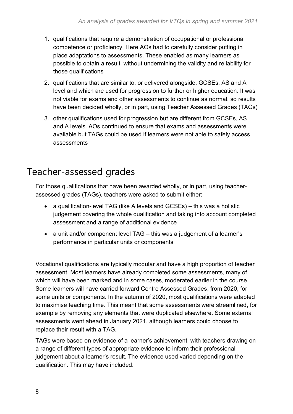- 1. qualifications that require a demonstration of occupational or professional competence or proficiency. Here AOs had to carefully consider putting in place adaptations to assessments. These enabled as many learners as possible to obtain a result, without undermining the validity and reliability for those qualifications
- 2. qualifications that are similar to, or delivered alongside, GCSEs, AS and A level and which are used for progression to further or higher education. It was not viable for exams and other assessments to continue as normal, so results have been decided wholly, or in part, using Teacher Assessed Grades (TAGs)
- 3. other qualifications used for progression but are different from GCSEs, AS and A levels. AOs continued to ensure that exams and assessments were available but TAGs could be used if learners were not able to safely access assessments

#### <span id="page-7-0"></span>Teacher-assessed grades

For those qualifications that have been awarded wholly, or in part, using teacherassessed grades (TAGs), teachers were asked to submit either:

- a qualification-level TAG (like A levels and GCSEs) this was a holistic judgement covering the whole qualification and taking into account completed assessment and a range of additional evidence
- a unit and/or component level TAG this was a judgement of a learner's performance in particular units or components

Vocational qualifications are typically modular and have a high proportion of teacher assessment. Most learners have already completed some assessments, many of which will have been marked and in some cases, moderated earlier in the course. Some learners will have carried forward Centre Assessed Grades, from 2020, for some units or components. In the autumn of 2020, most qualifications were adapted to maximise teaching time. This meant that some assessments were streamlined, for example by removing any elements that were duplicated elsewhere. Some external assessments went ahead in January 2021, although learners could choose to replace their result with a TAG.

TAGs were based on evidence of a learner's achievement, with teachers drawing on a range of different types of appropriate evidence to inform their professional judgement about a learner's result. The evidence used varied depending on the qualification. This may have included: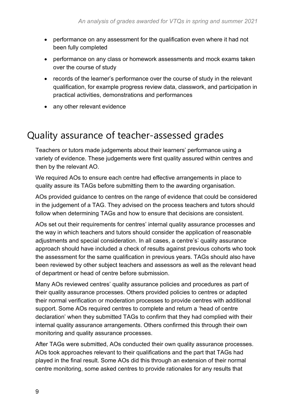- performance on any assessment for the qualification even where it had not been fully completed
- performance on any class or homework assessments and mock exams taken over the course of study
- records of the learner's performance over the course of study in the relevant qualification, for example progress review data, classwork, and participation in practical activities, demonstrations and performances
- any other relevant evidence

#### <span id="page-8-0"></span>Quality assurance of teacher-assessed grades

Teachers or tutors made judgements about their learners' performance using a variety of evidence. These judgements were first quality assured within centres and then by the relevant AO.

We required AOs to ensure each centre had effective arrangements in place to quality assure its TAGs before submitting them to the awarding organisation.

AOs provided guidance to centres on the range of evidence that could be considered in the judgement of a TAG. They advised on the process teachers and tutors should follow when determining TAGs and how to ensure that decisions are consistent.

AOs set out their requirements for centres' internal quality assurance processes and the way in which teachers and tutors should consider the application of reasonable adjustments and special consideration. In all cases, a centre's' quality assurance approach should have included a check of results against previous cohorts who took the assessment for the same qualification in previous years. TAGs should also have been reviewed by other subject teachers and assessors as well as the relevant head of department or head of centre before submission.

Many AOs reviewed centres' quality assurance policies and procedures as part of their quality assurance processes. Others provided policies to centres or adapted their normal verification or moderation processes to provide centres with additional support. Some AOs required centres to complete and return a 'head of centre declaration' when they submitted TAGs to confirm that they had complied with their internal quality assurance arrangements. Others confirmed this through their own monitoring and quality assurance processes.

After TAGs were submitted, AOs conducted their own quality assurance processes. AOs took approaches relevant to their qualifications and the part that TAGs had played in the final result. Some AOs did this through an extension of their normal centre monitoring, some asked centres to provide rationales for any results that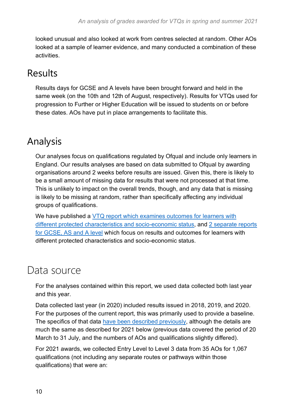looked unusual and also looked at work from centres selected at random. Other AOs looked at a sample of learner evidence, and many conducted a combination of these activities.

#### <span id="page-9-0"></span>Results

Results days for GCSE and A levels have been brought forward and held in the same week (on the 10th and 12th of August, respectively). Results for VTQs used for progression to Further or Higher Education will be issued to students on or before these dates. AOs have put in place arrangements to facilitate this.

#### <span id="page-9-1"></span>Analysis

Our analyses focus on qualifications regulated by Ofqual and include only learners in England. Our results analyses are based on data submitted to Ofqual by awarding organisations around 2 weeks before results are issued. Given this, there is likely to be a small amount of missing data for results that were not processed at that time. This is unlikely to impact on the overall trends, though, and any data that is missing is likely to be missing at random, rather than specifically affecting any individual groups of qualifications.

We have published a VTQ report which examines outcomes for learners with [different protected characteristics and socio-economic status,](https://www.gov.uk/government/publications/analysis-of-results-vtqs-2021) and [2 separate reports](https://www.gov.uk/government/publications/analysis-of-results-a-levels-and-gcses-summer-2021)  [for GCSE, AS and A level](https://www.gov.uk/government/publications/analysis-of-results-a-levels-and-gcses-summer-2021) which focus on results and outcomes for learners with different protected characteristics and socio-economic status.

#### <span id="page-9-2"></span>Data source

For the analyses contained within this report, we used data collected both last year and this year.

Data collected last year (in 2020) included results issued in 2018, 2019, and 2020. For the purposes of the current report, this was primarily used to provide a baseline. The specifics of that data have [been described previously,](https://www.gov.uk/government/publications/analysis-of-level-3-and-level-4-vtqs-in-spring-and-summer-2020) although the details are much the same as described for 2021 below (previous data covered the period of 20 March to 31 July, and the numbers of AOs and qualifications slightly differed).

For 2021 awards, we collected Entry Level to Level 3 data from 35 AOs for 1,067 qualifications (not including any separate routes or pathways within those qualifications) that were an: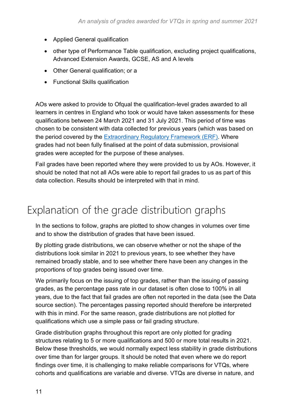- Applied General qualification
- other type of Performance Table qualification, excluding project qualifications, Advanced Extension Awards, GCSE, AS and A levels
- Other General qualification; or a
- Functional Skills qualification

AOs were asked to provide to Ofqual the qualification-level grades awarded to all learners in centres in England who took or would have taken assessments for these qualifications between 24 March 2021 and 31 July 2021. This period of time was chosen to be consistent with data collected for previous years (which was based on the period covered by the [Extraordinary Regulatory Framework \(ERF\).](https://www.gov.uk/government/publications/extraordinary-regulatory-framework-vtq-covid-19-conditions-and-requirements) Where grades had not been fully finalised at the point of data submission, provisional grades were accepted for the purpose of these analyses.

Fail grades have been reported where they were provided to us by AOs. However, it should be noted that not all AOs were able to report fail grades to us as part of this data collection. Results should be interpreted with that in mind.

### <span id="page-10-0"></span>Explanation of the grade distribution graphs

In the sections to follow, graphs are plotted to show changes in volumes over time and to show the distribution of grades that have been issued.

By plotting grade distributions, we can observe whether or not the shape of the distributions look similar in 2021 to previous years, to see whether they have remained broadly stable, and to see whether there have been any changes in the proportions of top grades being issued over time.

We primarily focus on the issuing of top grades, rather than the issuing of passing grades, as the percentage pass rate in our dataset is often close to 100% in all years, due to the fact that fail grades are often not reported in the data (see the [Data](#page-9-2)  [source](#page-9-2) section). The percentages passing reported should therefore be interpreted with this in mind. For the same reason, grade distributions are not plotted for qualifications which use a simple pass or fail grading structure.

Grade distribution graphs throughout this report are only plotted for grading structures relating to 5 or more qualifications and 500 or more total results in 2021. Below these thresholds, we would normally expect less stability in grade distributions over time than for larger groups. It should be noted that even where we do report findings over time, it is challenging to make reliable comparisons for VTQs, where cohorts and qualifications are variable and diverse. VTQs are diverse in nature, and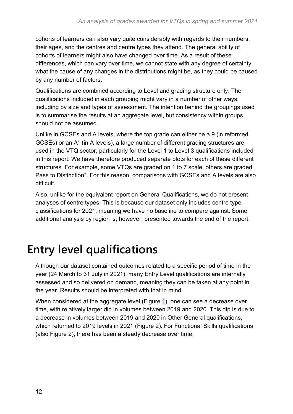cohorts of learners can also vary quite considerably with regards to their numbers, their ages, and the centres and centre types they attend. The general ability of cohorts of learners might also have changed over time. As a result of these differences, which can vary over time, we cannot state with any degree of certainty what the cause of any changes in the distributions might be, as they could be caused by any number of factors.

Qualifications are combined according to Level and grading structure only. The qualifications included in each grouping might vary in a number of other ways, including by size and types of assessment. The intention behind the groupings used is to summarise the results at an aggregate level, but consistency within groups should not be assumed.

Unlike in GCSEs and A levels, where the top grade can either be a 9 (in reformed GCSEs) or an A\* (in A levels), a large number of different grading structures are used in the VTQ sector, particularly for the Level 1 to Level 3 qualifications included in this report. We have therefore produced separate plots for each of these different structures. For example, some VTQs are graded on 1 to 7 scale, others are graded Pass to Distinction\*. For this reason, comparisons with GCSEs and A levels are also difficult.

Also, unlike for the equivalent report on General Qualifications, we do not present analyses of centre types. This is because our dataset only includes centre type classifications for 2021, meaning we have no baseline to compare against. Some additional analysis by region is, however, presented towards the end of the report.

## <span id="page-11-0"></span>**Entry level qualifications**

Although our dataset contained outcomes related to a specific period of time in the year (24 March to 31 July in 2021), many Entry Level qualifications are internally assessed and so delivered on demand, meaning they can be taken at any point in the year. Results should be interpreted with that in mind.

When considered at the aggregate level [\(Figure 1\)](#page-12-0), one can see a decrease over time, with relatively larger dip in volumes between 2019 and 2020. This dip is due to a decrease in volumes between 2019 and 2020 in Other General qualifications, which returned to 2019 levels in 2021 [\(Figure 2\)](#page-12-1). For Functional Skills qualifications (also [Figure 2\)](#page-12-1), there has been a steady decrease over time.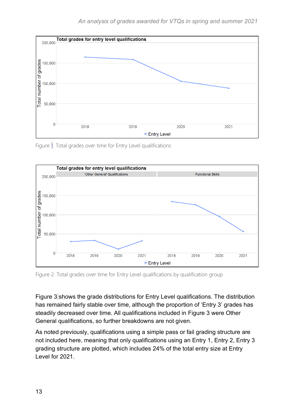

<span id="page-12-0"></span>Figure 1. Total grades over time for Entry Level qualifications



<span id="page-12-1"></span>Figure 2. Total grades over time for Entry Level qualifications by qualification group

[Figure 3](#page-13-1) shows the grade distributions for Entry Level qualifications. The distribution has remained fairly stable over time, although the proportion of 'Entry 3' grades has steadily decreased over time. All qualifications included in [Figure 3](#page-13-1) were Other General qualifications, so further breakdowns are not given.

As noted previously, qualifications using a simple pass or fail grading structure are not included here, meaning that only qualifications using an Entry 1, Entry 2, Entry 3 grading structure are plotted, which includes 24% of the total entry size at Entry Level for 2021.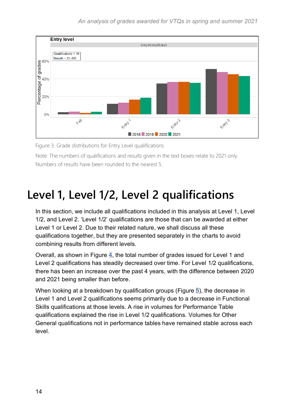

<span id="page-13-1"></span>Figure 3. Grade distributions for Entry Level qualifications

Note: The numbers of qualifications and results given in the text boxes relate to 2021 only. Numbers of results have been rounded to the nearest 5.

### <span id="page-13-0"></span>**Level 1, Level 1/2, Level 2 qualifications**

In this section, we include all qualifications included in this analysis at Level 1, Level 1/2, and Level 2. 'Level 1/2' qualifications are those that can be awarded at either Level 1 or Level 2. Due to their related nature, we shall discuss all these qualifications together, but they are presented separately in the charts to avoid combining results from different levels.

Overall, as shown in [Figure 4,](#page-14-0) the total number of grades issued for Level 1 and Level 2 qualifications has steadily decreased over time. For Level 1/2 qualifications, there has been an increase over the past 4 years, with the difference between 2020 and 2021 being smaller than before.

When looking at a breakdown by qualification groups [\(Figure 5\)](#page-14-1), the decrease in Level 1 and Level 2 qualifications seems primarily due to a decrease in Functional Skills qualifications at those levels. A rise in volumes for Performance Table qualifications explained the rise in Level 1/2 qualifications. Volumes for Other General qualifications not in performance tables have remained stable across each level.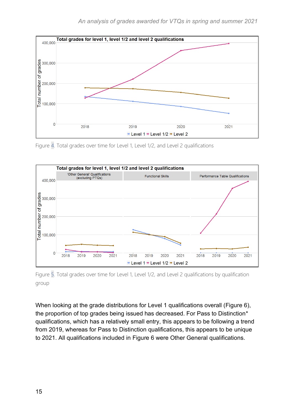

<span id="page-14-0"></span>Figure 4. Total grades over time for Level 1, Level 1/2, and Level 2 qualifications



<span id="page-14-1"></span>Figure 5. Total grades over time for Level 1, Level 1/2, and Level 2 qualifications by qualification group

When looking at the grade distributions for Level 1 qualifications overall [\(Figure 6\)](#page-15-0), the proportion of top grades being issued has decreased. For Pass to Distinction\* qualifications, which has a relatively small entry, this appears to be following a trend from 2019, whereas for Pass to Distinction qualifications, this appears to be unique to 2021. All qualifications included in [Figure 6](#page-15-0) were Other General qualifications.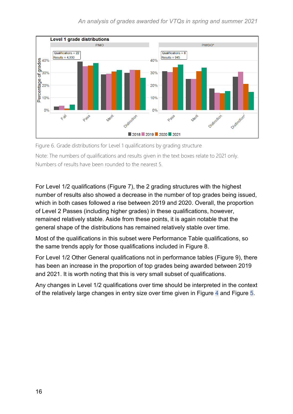

<span id="page-15-0"></span>Figure 6. Grade distributions for Level 1 qualifications by grading structure Note: The numbers of qualifications and results given in the text boxes relate to 2021 only. Numbers of results have been rounded to the nearest 5.

For Level 1/2 qualifications [\(Figure 7\)](#page-16-0), the 2 grading structures with the highest number of results also showed a decrease in the number of top grades being issued, which in both cases followed a rise between 2019 and 2020. Overall, the proportion of Level 2 Passes (including higher grades) in these qualifications, however, remained relatively stable. Aside from these points, it is again notable that the general shape of the distributions has remained relatively stable over time.

Most of the qualifications in this subset were Performance Table qualifications, so the same trends apply for those qualifications included in [Figure 8.](#page-16-1)

For Level 1/2 Other General qualifications not in performance tables [\(Figure 9\)](#page-17-0), there has been an increase in the proportion of top grades being awarded between 2019 and 2021. It is worth noting that this is very small subset of qualifications.

Any changes in Level 1/2 qualifications over time should be interpreted in the context of the relatively large changes in entry size over time given in [Figure 4](#page-14-0) and [Figure 5.](#page-14-1)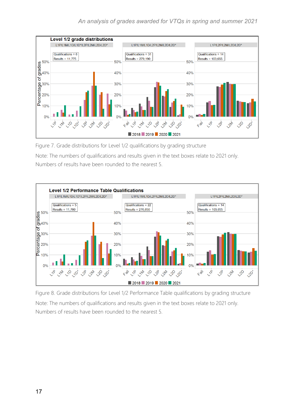

<span id="page-16-0"></span>Figure 7. Grade distributions for Level 1/2 qualifications by grading structure

Note: The numbers of qualifications and results given in the text boxes relate to 2021 only. Numbers of results have been rounded to the nearest 5.



<span id="page-16-1"></span>Figure 8. Grade distributions for Level 1/2 Performance Table qualifications by grading structure Note: The numbers of qualifications and results given in the text boxes relate to 2021 only. Numbers of results have been rounded to the nearest 5.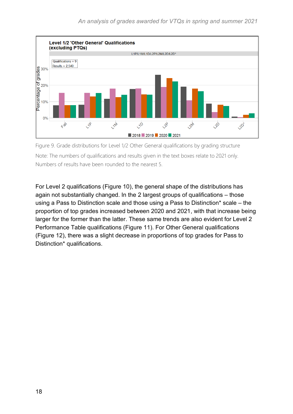

<span id="page-17-0"></span>Figure 9. Grade distributions for Level 1/2 Other General qualifications by grading structure Note: The numbers of qualifications and results given in the text boxes relate to 2021 only. Numbers of results have been rounded to the nearest 5.

For Level 2 qualifications [\(Figure 10\)](#page-18-0), the general shape of the distributions has again not substantially changed. In the 2 largest groups of qualifications – those using a Pass to Distinction scale and those using a Pass to Distinction\* scale – the proportion of top grades increased between 2020 and 2021, with that increase being larger for the former than the latter. These same trends are also evident for Level 2 Performance Table qualifications [\(Figure 11\)](#page-18-1). For Other General qualifications [\(Figure 12\)](#page-19-1), there was a slight decrease in proportions of top grades for Pass to Distinction\* qualifications.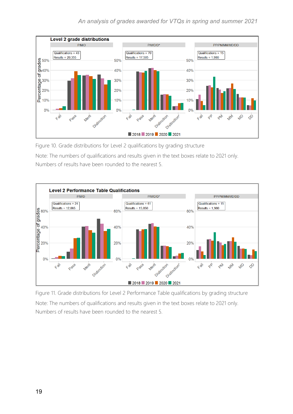

<span id="page-18-0"></span>Figure 10. Grade distributions for Level 2 qualifications by grading structure

Note: The numbers of qualifications and results given in the text boxes relate to 2021 only. Numbers of results have been rounded to the nearest 5.



<span id="page-18-1"></span>Figure 11. Grade distributions for Level 2 Performance Table qualifications by grading structure Note: The numbers of qualifications and results given in the text boxes relate to 2021 only. Numbers of results have been rounded to the nearest 5.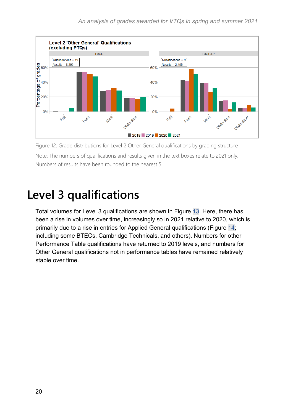

<span id="page-19-1"></span>Figure 12. Grade distributions for Level 2 Other General qualifications by grading structure Note: The numbers of qualifications and results given in the text boxes relate to 2021 only. Numbers of results have been rounded to the nearest 5.

### <span id="page-19-0"></span>**Level 3 qualifications**

Total volumes for Level 3 qualifications are shown in [Figure 13.](#page-20-0) Here, there has been a rise in volumes over time, increasingly so in 2021 relative to 2020, which is primarily due to a rise in entries for Applied General qualifications [\(Figure 14;](#page-20-1) including some BTECs, Cambridge Technicals, and others). Numbers for other Performance Table qualifications have returned to 2019 levels, and numbers for Other General qualifications not in performance tables have remained relatively stable over time.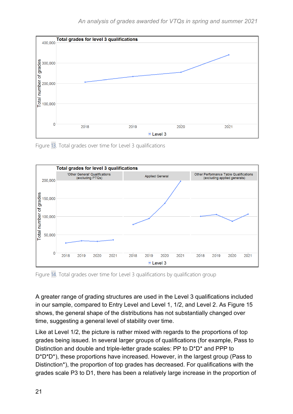

<span id="page-20-0"></span>Figure 13. Total grades over time for Level 3 qualifications



<span id="page-20-1"></span>Figure 14. Total grades over time for Level 3 qualifications by qualification group

A greater range of grading structures are used in the Level 3 qualifications included in our sample, compared to Entry Level and Level 1, 1/2, and Level 2. As [Figure 15](#page-22-0) shows, the general shape of the distributions has not substantially changed over time, suggesting a general level of stability over time.

Like at Level 1/2, the picture is rather mixed with regards to the proportions of top grades being issued. In several larger groups of qualifications (for example, Pass to Distinction and double and triple-letter grade scales: PP to D\*D\* and PPP to D\*D\*D\*), these proportions have increased. However, in the largest group (Pass to Distinction\*), the proportion of top grades has decreased. For qualifications with the grades scale P3 to D1, there has been a relatively large increase in the proportion of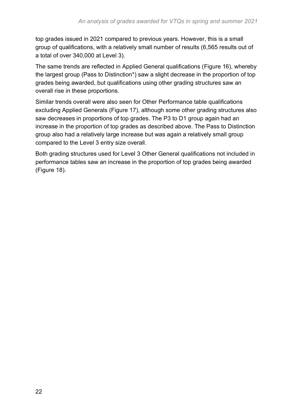top grades issued in 2021 compared to previous years. However, this is a small group of qualifications, with a relatively small number of results (6,565 results out of a total of over 340,000 at Level 3).

The same trends are reflected in Applied General qualifications [\(Figure 16\)](#page-24-0), whereby the largest group (Pass to Distinction\*) saw a slight decrease in the proportion of top grades being awarded, but qualifications using other grading structures saw an overall rise in these proportions.

Similar trends overall were also seen for Other Performance table qualifications excluding Applied Generals [\(Figure 17\)](#page-25-0), although some other grading structures also saw decreases in proportions of top grades. The P3 to D1 group again had an increase in the proportion of top grades as described above. The Pass to Distinction group also had a relatively large increase but was again a relatively small group compared to the Level 3 entry size overall.

Both grading structures used for Level 3 Other General qualifications not included in performance tables saw an increase in the proportion of top grades being awarded [\(Figure 18\)](#page-26-1).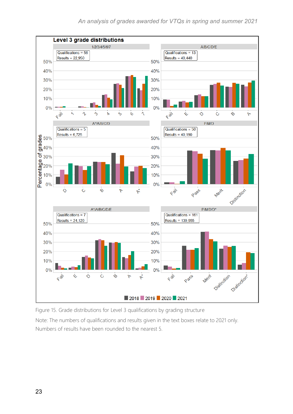

<span id="page-22-0"></span>Figure 15. Grade distributions for Level 3 qualifications by grading structure

Note: The numbers of qualifications and results given in the text boxes relate to 2021 only. Numbers of results have been rounded to the nearest 5.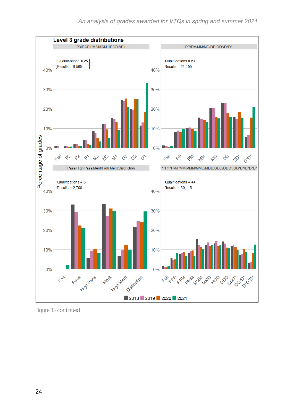

[Figure 15](#page-22-0) continued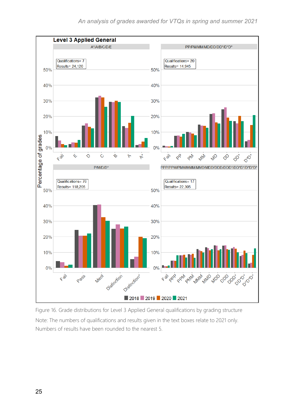

<span id="page-24-0"></span>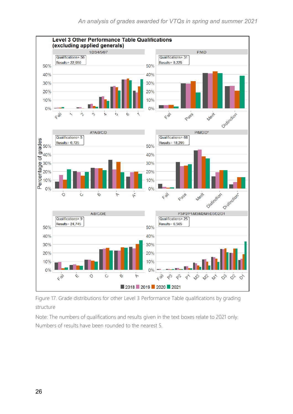

<span id="page-25-0"></span>Figure 17. Grade distributions for other Level 3 Performance Table qualifications by grading structure

Note: The numbers of qualifications and results given in the text boxes relate to 2021 only. Numbers of results have been rounded to the nearest 5.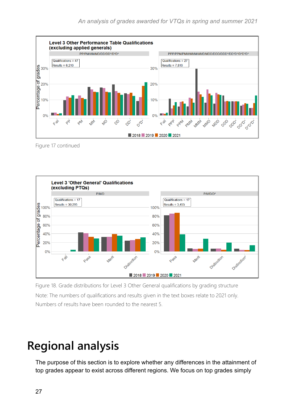

[Figure 17](#page-25-0) continued



<span id="page-26-1"></span>Figure 18. Grade distributions for Level 3 Other General qualifications by grading structure Note: The numbers of qualifications and results given in the text boxes relate to 2021 only. Numbers of results have been rounded to the nearest 5.

### <span id="page-26-0"></span>**Regional analysis**

The purpose of this section is to explore whether any differences in the attainment of top grades appear to exist across different regions. We focus on top grades simply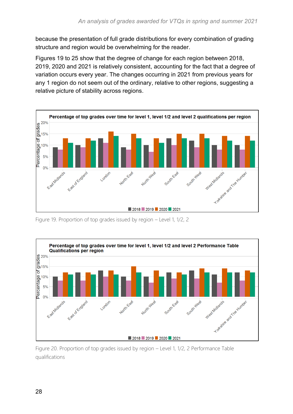because the presentation of full grade distributions for every combination of grading structure and region would be overwhelming for the reader.

Figures 19 to 25 show that the degree of change for each region between 2018, 2019, 2020 and 2021 is relatively consistent, accounting for the fact that a degree of variation occurs every year. The changes occurring in 2021 from previous years for any 1 region do not seem out of the ordinary, relative to other regions, suggesting a relative picture of stability across regions.



<span id="page-27-0"></span>Figure 19. Proportion of top grades issued by region – Level 1, 1/2, 2



<span id="page-27-1"></span>Figure 20. Proportion of top grades issued by region – Level 1, 1/2, 2 Performance Table qualifications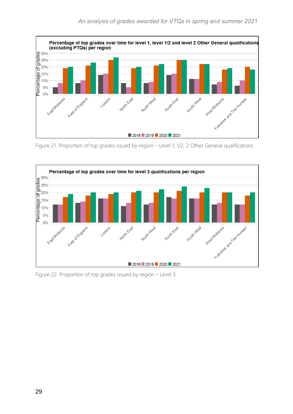

<span id="page-28-0"></span>Figure 21. Proportion of top grades issued by region – Level 1, 1/2, 2 Other General qualifications



<span id="page-28-1"></span>Figure 22. Proportion of top grades issued by region – Level 3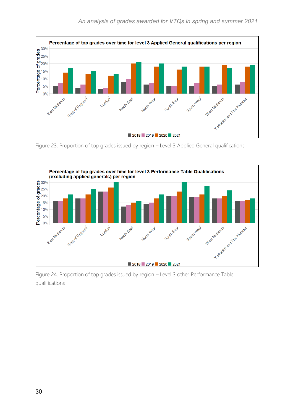

<span id="page-29-0"></span>Figure 23. Proportion of top grades issued by region – Level 3 Applied General qualifications



<span id="page-29-1"></span>Figure 24. Proportion of top grades issued by region – Level 3 other Performance Table qualifications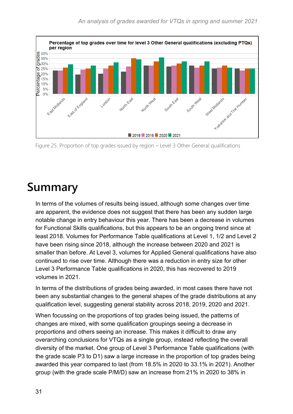

<span id="page-30-1"></span>Figure 25. Proportion of top grades issued by region – Level 3 Other General qualifications

### <span id="page-30-0"></span>**Summary**

In terms of the volumes of results being issued, although some changes over time are apparent, the evidence does not suggest that there has been any sudden large notable change in entry behaviour this year. There has been a decrease in volumes for Functional Skills qualifications, but this appears to be an ongoing trend since at least 2018. Volumes for Performance Table qualifications at Level 1, 1/2 and Level 2 have been rising since 2018, although the increase between 2020 and 2021 is smaller than before. At Level 3, volumes for Applied General qualifications have also continued to rise over time. Although there was a reduction in entry size for other Level 3 Performance Table qualifications in 2020, this has recovered to 2019 volumes in 2021.

In terms of the distributions of grades being awarded, in most cases there have not been any substantial changes to the general shapes of the grade distributions at any qualification level, suggesting general stability across 2018, 2019, 2020 and 2021.

When focussing on the proportions of top grades being issued, the patterns of changes are mixed, with some qualification groupings seeing a decrease in proportions and others seeing an increase. This makes it difficult to draw any overarching conclusions for VTQs as a single group, instead reflecting the overall diversity of the market. One group of Level 3 Performance Table qualifications (with the grade scale P3 to D1) saw a large increase in the proportion of top grades being awarded this year compared to last (from 18.5% in 2020 to 33.1% in 2021). Another group (with the grade scale P/M/D) saw an increase from 21% in 2020 to 38% in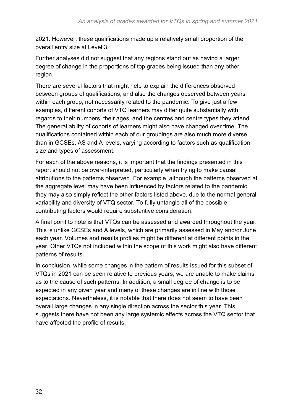2021. However, these qualifications made up a relatively small proportion of the overall entry size at Level 3.

Further analyses did not suggest that any regions stand out as having a larger degree of change in the proportions of top grades being issued than any other region.

There are several factors that might help to explain the differences observed between groups of qualifications, and also the changes observed between years within each group, not necessarily related to the pandemic. To give just a few examples, different cohorts of VTQ learners may differ quite substantially with regards to their numbers, their ages, and the centres and centre types they attend. The general ability of cohorts of learners might also have changed over time. The qualifications contained within each of our groupings are also much more diverse than in GCSEs, AS and A levels, varying according to factors such as qualification size and types of assessment.

For each of the above reasons, it is important that the findings presented in this report should not be over-interpreted, particularly when trying to make causal attributions to the patterns observed. For example, although the patterns observed at the aggregate level may have been influenced by factors related to the pandemic, they may also simply reflect the other factors listed above, due to the normal general variability and diversity of VTQ sector. To fully untangle all of the possible contributing factors would require substantive consideration.

A final point to note is that VTQs can be assessed and awarded throughout the year. This is unlike GCSEs and A levels, which are primarily assessed in May and/or June each year. Volumes and results profiles might be different at different points in the year. Other VTQs not included within the scope of this work might also have different patterns of results.

In conclusion, while some changes in the pattern of results issued for this subset of VTQs in 2021 can be seen relative to previous years, we are unable to make claims as to the cause of such patterns. In addition, a small degree of change is to be expected in any given year and many of these changes are in line with those expectations. Nevertheless, it is notable that there does not seem to have been overall large changes in any single direction across the sector this year. This suggests there have not been any large systemic effects across the VTQ sector that have affected the profile of results.